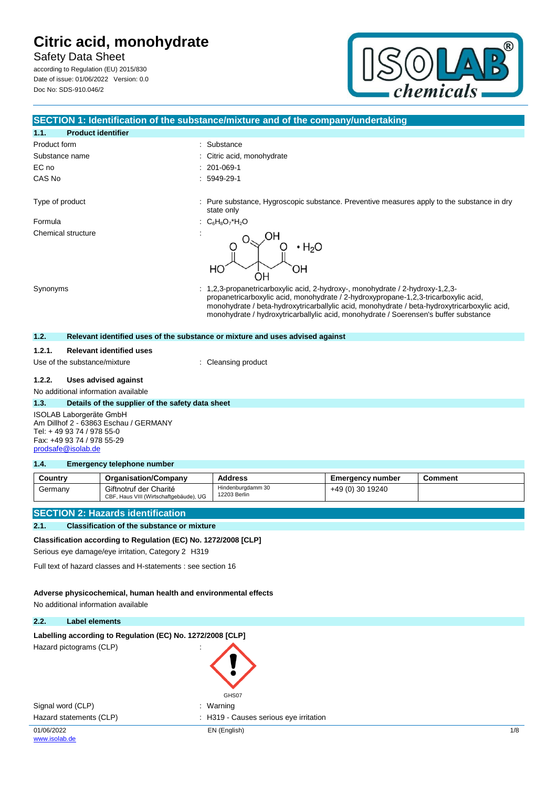Safety Data Sheet according to Regulation (EU) 2015/830

Date of issue: 01/06/2022 Version: 0.0 Doc No: SDS-910.046/2



|                                                                 |                                                                  | SECTION 1: Identification of the substance/mixture and of the company/undertaking                                                                                                                                                                                                                                                                          |                         |                |  |
|-----------------------------------------------------------------|------------------------------------------------------------------|------------------------------------------------------------------------------------------------------------------------------------------------------------------------------------------------------------------------------------------------------------------------------------------------------------------------------------------------------------|-------------------------|----------------|--|
| <b>Product identifier</b><br>1.1.                               |                                                                  |                                                                                                                                                                                                                                                                                                                                                            |                         |                |  |
| Product form                                                    |                                                                  | : Substance                                                                                                                                                                                                                                                                                                                                                |                         |                |  |
| Substance name                                                  |                                                                  | Citric acid, monohydrate                                                                                                                                                                                                                                                                                                                                   |                         |                |  |
| EC no                                                           |                                                                  | 201-069-1                                                                                                                                                                                                                                                                                                                                                  |                         |                |  |
| CAS No                                                          |                                                                  | 5949-29-1                                                                                                                                                                                                                                                                                                                                                  |                         |                |  |
| Type of product                                                 |                                                                  | : Pure substance, Hygroscopic substance. Preventive measures apply to the substance in dry                                                                                                                                                                                                                                                                 |                         |                |  |
|                                                                 |                                                                  | state only                                                                                                                                                                                                                                                                                                                                                 |                         |                |  |
| Formula                                                         | ÷                                                                | $C_6H_8O_7*H_2O$                                                                                                                                                                                                                                                                                                                                           |                         |                |  |
| Chemical structure                                              |                                                                  | $\cdot$ H <sub>2</sub> O<br>HO<br>OΗ                                                                                                                                                                                                                                                                                                                       |                         |                |  |
| Synonyms                                                        |                                                                  | 1,2,3-propanetricarboxylic acid, 2-hydroxy-, monohydrate / 2-hydroxy-1,2,3-<br>propanetricarboxylic acid, monohydrate / 2-hydroxypropane-1,2,3-tricarboxylic acid,<br>monohydrate / beta-hydroxytricarballylic acid, monohydrate / beta-hydroxytricarboxylic acid,<br>monohydrate / hydroxytricarballylic acid, monohydrate / Soerensen's buffer substance |                         |                |  |
| 1.2.                                                            |                                                                  | Relevant identified uses of the substance or mixture and uses advised against                                                                                                                                                                                                                                                                              |                         |                |  |
| 1.2.1.                                                          | <b>Relevant identified uses</b>                                  |                                                                                                                                                                                                                                                                                                                                                            |                         |                |  |
| Use of the substance/mixture                                    |                                                                  | : Cleansing product                                                                                                                                                                                                                                                                                                                                        |                         |                |  |
| 1.2.2.                                                          | Uses advised against                                             |                                                                                                                                                                                                                                                                                                                                                            |                         |                |  |
| No additional information available                             |                                                                  |                                                                                                                                                                                                                                                                                                                                                            |                         |                |  |
| 1.3.<br>Details of the supplier of the safety data sheet        |                                                                  |                                                                                                                                                                                                                                                                                                                                                            |                         |                |  |
| ISOLAB Laborgeräte GmbH                                         |                                                                  |                                                                                                                                                                                                                                                                                                                                                            |                         |                |  |
|                                                                 | Am Dillhof 2 - 63863 Eschau / GERMANY                            |                                                                                                                                                                                                                                                                                                                                                            |                         |                |  |
| Tel: +49 93 74 / 978 55-0<br>Fax: +49 93 74 / 978 55-29         |                                                                  |                                                                                                                                                                                                                                                                                                                                                            |                         |                |  |
| prodsafe@isolab.de                                              |                                                                  |                                                                                                                                                                                                                                                                                                                                                            |                         |                |  |
| 1.4.<br><b>Emergency telephone number</b>                       |                                                                  |                                                                                                                                                                                                                                                                                                                                                            |                         |                |  |
| Country                                                         | <b>Organisation/Company</b>                                      | <b>Address</b>                                                                                                                                                                                                                                                                                                                                             | <b>Emergency number</b> | <b>Comment</b> |  |
| Germany                                                         | Giftnotruf der Charité<br>CBF, Haus VIII (Wirtschaftgebäude), UG | Hindenburgdamm 30<br>12203 Berlin                                                                                                                                                                                                                                                                                                                          | +49 (0) 30 19240        |                |  |
| <b>SECTION 2: Hazards identification</b>                        |                                                                  |                                                                                                                                                                                                                                                                                                                                                            |                         |                |  |
| 2.1.<br><b>Classification of the substance or mixture</b>       |                                                                  |                                                                                                                                                                                                                                                                                                                                                            |                         |                |  |
| Classification according to Regulation (EC) No. 1272/2008 [CLP] |                                                                  |                                                                                                                                                                                                                                                                                                                                                            |                         |                |  |
|                                                                 | Serious eye damage/eye irritation, Category 2 H319               |                                                                                                                                                                                                                                                                                                                                                            |                         |                |  |
|                                                                 | Full text of hazard classes and H-statements : see section 16    |                                                                                                                                                                                                                                                                                                                                                            |                         |                |  |
|                                                                 |                                                                  |                                                                                                                                                                                                                                                                                                                                                            |                         |                |  |

## **Adverse physicochemical, human health and environmental effects**

No additional information available

## **2.2. Label elements**

| Labelling according to Regulation (EC) No. 1272/2008 [CLP]<br>Hazard pictograms (CLP) | GHS07                                  |              |
|---------------------------------------------------------------------------------------|----------------------------------------|--------------|
| Signal word (CLP)                                                                     | : Warning                              |              |
| Hazard statements (CLP)                                                               | : H319 - Causes serious eye irritation |              |
| 01/06/2022                                                                            | EN (English)                           | $1/\epsilon$ |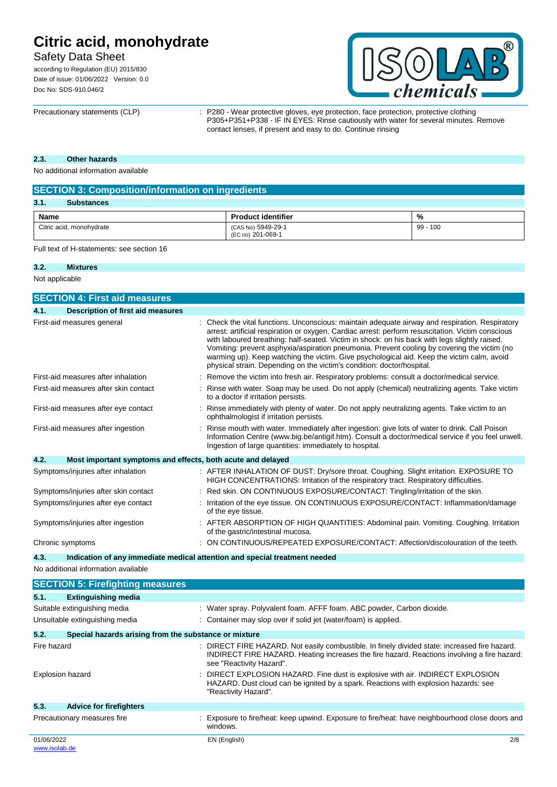# Safety Data Sheet

according to Regulation (EU) 2015/830 Date of issue: 01/06/2022 Version: 0.0 Doc No: SDS-910.046/2



Precautionary statements (CLP) : P280 - Wear protective gloves, eye protection, face protection, protective clothing P305+P351+P338 - IF IN EYES: Rinse cautiously with water for several minutes. Remove contact lenses, if present and easy to do. Continue rinsing

### **2.3. Other hazards**

No additional information available

| <b>SECTION 3: Composition/information on ingredients</b> |                                         |            |  |  |
|----------------------------------------------------------|-----------------------------------------|------------|--|--|
| 3.1.<br><b>Substances</b>                                |                                         |            |  |  |
| Name                                                     | <b>Product identifier</b>               | %          |  |  |
| Citric acid, monohydrate                                 | (CAS No) 5949-29-1<br>(EC no) 201-069-1 | $99 - 100$ |  |  |

Full text of H-statements: see section 16

#### **3.2. Mixtures**

Not applicable

| <b>SECTION 4: First aid measures</b>                                               |  |                                                                                                                                                                                                                                                                                                                                                                                                                                                                                                                                                                            |  |
|------------------------------------------------------------------------------------|--|----------------------------------------------------------------------------------------------------------------------------------------------------------------------------------------------------------------------------------------------------------------------------------------------------------------------------------------------------------------------------------------------------------------------------------------------------------------------------------------------------------------------------------------------------------------------------|--|
| 4.1.<br><b>Description of first aid measures</b>                                   |  |                                                                                                                                                                                                                                                                                                                                                                                                                                                                                                                                                                            |  |
| First-aid measures general                                                         |  | Check the vital functions. Unconscious: maintain adequate airway and respiration. Respiratory<br>arrest: artificial respiration or oxygen. Cardiac arrest: perform resuscitation. Victim conscious<br>with laboured breathing: half-seated. Victim in shock: on his back with legs slightly raised.<br>Vomiting: prevent asphyxia/aspiration pneumonia. Prevent cooling by covering the victim (no<br>warming up). Keep watching the victim. Give psychological aid. Keep the victim calm, avoid<br>physical strain. Depending on the victim's condition: doctor/hospital. |  |
| First-aid measures after inhalation                                                |  | Remove the victim into fresh air. Respiratory problems: consult a doctor/medical service.                                                                                                                                                                                                                                                                                                                                                                                                                                                                                  |  |
| First-aid measures after skin contact                                              |  | Rinse with water. Soap may be used. Do not apply (chemical) neutralizing agents. Take victim<br>to a doctor if irritation persists.                                                                                                                                                                                                                                                                                                                                                                                                                                        |  |
| First-aid measures after eye contact                                               |  | Rinse immediately with plenty of water. Do not apply neutralizing agents. Take victim to an<br>ophthalmologist if irritation persists.                                                                                                                                                                                                                                                                                                                                                                                                                                     |  |
| First-aid measures after ingestion                                                 |  | Rinse mouth with water. Immediately after ingestion: give lots of water to drink. Call Poison<br>Information Centre (www.big.be/antigif.htm). Consult a doctor/medical service if you feel unwell.<br>Ingestion of large quantities: immediately to hospital.                                                                                                                                                                                                                                                                                                              |  |
| 4.2.<br>Most important symptoms and effects, both acute and delayed                |  |                                                                                                                                                                                                                                                                                                                                                                                                                                                                                                                                                                            |  |
| Symptoms/injuries after inhalation                                                 |  | : AFTER INHALATION OF DUST: Dry/sore throat. Coughing. Slight irritation. EXPOSURE TO<br>HIGH CONCENTRATIONS: Irritation of the respiratory tract. Respiratory difficulties.                                                                                                                                                                                                                                                                                                                                                                                               |  |
| Symptoms/injuries after skin contact                                               |  | Red skin. ON CONTINUOUS EXPOSURE/CONTACT: Tingling/irritation of the skin.                                                                                                                                                                                                                                                                                                                                                                                                                                                                                                 |  |
| Symptoms/injuries after eye contact                                                |  | Irritation of the eye tissue. ON CONTINUOUS EXPOSURE/CONTACT: Inflammation/damage<br>of the eye tissue.                                                                                                                                                                                                                                                                                                                                                                                                                                                                    |  |
| Symptoms/injuries after ingestion                                                  |  | : AFTER ABSORPTION OF HIGH QUANTITIES: Abdominal pain. Vomiting. Coughing. Irritation<br>of the gastric/intestinal mucosa.                                                                                                                                                                                                                                                                                                                                                                                                                                                 |  |
| Chronic symptoms                                                                   |  | ON CONTINUOUS/REPEATED EXPOSURE/CONTACT: Affection/discolouration of the teeth.                                                                                                                                                                                                                                                                                                                                                                                                                                                                                            |  |
| Indication of any immediate medical attention and special treatment needed<br>4.3. |  |                                                                                                                                                                                                                                                                                                                                                                                                                                                                                                                                                                            |  |
| No additional information available                                                |  |                                                                                                                                                                                                                                                                                                                                                                                                                                                                                                                                                                            |  |
| <b>SECTION 5: Firefighting measures</b>                                            |  |                                                                                                                                                                                                                                                                                                                                                                                                                                                                                                                                                                            |  |
| 5.1.<br><b>Extinguishing media</b>                                                 |  |                                                                                                                                                                                                                                                                                                                                                                                                                                                                                                                                                                            |  |
| Suitable extinguishing media                                                       |  | : Water spray. Polyvalent foam. AFFF foam. ABC powder. Carbon dioxide.                                                                                                                                                                                                                                                                                                                                                                                                                                                                                                     |  |
| Unsuitable extinguishing media                                                     |  | Container may slop over if solid jet (water/foam) is applied.                                                                                                                                                                                                                                                                                                                                                                                                                                                                                                              |  |
| 5.2.<br>Special hazards arising from the substance or mixture                      |  |                                                                                                                                                                                                                                                                                                                                                                                                                                                                                                                                                                            |  |
| Fire hazard                                                                        |  | DIRECT FIRE HAZARD. Not easily combustible. In finely divided state: increased fire hazard.<br>INDIRECT FIRE HAZARD. Heating increases the fire hazard. Reactions involving a fire hazard:<br>see "Reactivity Hazard".                                                                                                                                                                                                                                                                                                                                                     |  |
| <b>Explosion hazard</b>                                                            |  | DIRECT EXPLOSION HAZARD. Fine dust is explosive with air. INDIRECT EXPLOSION<br>HAZARD. Dust cloud can be ignited by a spark. Reactions with explosion hazards: see<br>"Reactivity Hazard".                                                                                                                                                                                                                                                                                                                                                                                |  |
| 5.3.<br><b>Advice for firefighters</b>                                             |  |                                                                                                                                                                                                                                                                                                                                                                                                                                                                                                                                                                            |  |
| Precautionary measures fire                                                        |  | : Exposure to fire/heat: keep upwind. Exposure to fire/heat: have neighbourhood close doors and<br>windows.                                                                                                                                                                                                                                                                                                                                                                                                                                                                |  |
| 01/06/2022<br>www.isolab.de                                                        |  | EN (English)<br>2/8                                                                                                                                                                                                                                                                                                                                                                                                                                                                                                                                                        |  |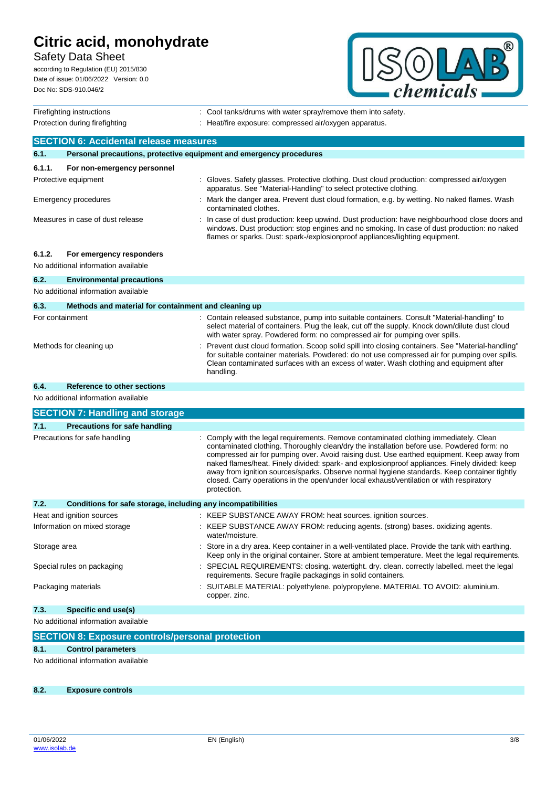# Safety Data Sheet

according to Regulation (EU) 2015/830 Date of issue: 01/06/2022 Version: 0.0 Doc No: SDS-910.046/2



| Firefighting instructions                     |                                                                     |  | : Cool tanks/drums with water spray/remove them into safety.                                                                                                                                                                                                                                                                                                                                                                                                                                                                                                                               |  |
|-----------------------------------------------|---------------------------------------------------------------------|--|--------------------------------------------------------------------------------------------------------------------------------------------------------------------------------------------------------------------------------------------------------------------------------------------------------------------------------------------------------------------------------------------------------------------------------------------------------------------------------------------------------------------------------------------------------------------------------------------|--|
| Protection during firefighting                |                                                                     |  | : Heat/fire exposure: compressed air/oxygen apparatus.                                                                                                                                                                                                                                                                                                                                                                                                                                                                                                                                     |  |
| <b>SECTION 6: Accidental release measures</b> |                                                                     |  |                                                                                                                                                                                                                                                                                                                                                                                                                                                                                                                                                                                            |  |
| 6.1.                                          | Personal precautions, protective equipment and emergency procedures |  |                                                                                                                                                                                                                                                                                                                                                                                                                                                                                                                                                                                            |  |
| 6.1.1.                                        | For non-emergency personnel                                         |  |                                                                                                                                                                                                                                                                                                                                                                                                                                                                                                                                                                                            |  |
|                                               | Protective equipment                                                |  | : Gloves. Safety glasses. Protective clothing. Dust cloud production: compressed air/oxygen<br>apparatus. See "Material-Handling" to select protective clothing.                                                                                                                                                                                                                                                                                                                                                                                                                           |  |
|                                               | Emergency procedures                                                |  | : Mark the danger area. Prevent dust cloud formation, e.g. by wetting. No naked flames. Wash<br>contaminated clothes.                                                                                                                                                                                                                                                                                                                                                                                                                                                                      |  |
|                                               | Measures in case of dust release                                    |  | In case of dust production: keep upwind. Dust production: have neighbourhood close doors and<br>windows. Dust production: stop engines and no smoking. In case of dust production: no naked<br>flames or sparks. Dust: spark-/explosionproof appliances/lighting equipment.                                                                                                                                                                                                                                                                                                                |  |
| 6.1.2.                                        | For emergency responders<br>No additional information available     |  |                                                                                                                                                                                                                                                                                                                                                                                                                                                                                                                                                                                            |  |
| 6.2.                                          | <b>Environmental precautions</b>                                    |  |                                                                                                                                                                                                                                                                                                                                                                                                                                                                                                                                                                                            |  |
|                                               | No additional information available                                 |  |                                                                                                                                                                                                                                                                                                                                                                                                                                                                                                                                                                                            |  |
| 6.3.                                          | Methods and material for containment and cleaning up                |  |                                                                                                                                                                                                                                                                                                                                                                                                                                                                                                                                                                                            |  |
| For containment                               |                                                                     |  | : Contain released substance, pump into suitable containers. Consult "Material-handling" to<br>select material of containers. Plug the leak, cut off the supply. Knock down/dilute dust cloud<br>with water spray. Powdered form: no compressed air for pumping over spills.                                                                                                                                                                                                                                                                                                               |  |
|                                               | Methods for cleaning up                                             |  | Prevent dust cloud formation. Scoop solid spill into closing containers. See "Material-handling"<br>for suitable container materials. Powdered: do not use compressed air for pumping over spills.<br>Clean contaminated surfaces with an excess of water. Wash clothing and equipment after<br>handling.                                                                                                                                                                                                                                                                                  |  |
| 6.4.                                          | Reference to other sections                                         |  |                                                                                                                                                                                                                                                                                                                                                                                                                                                                                                                                                                                            |  |
| No additional information available           |                                                                     |  |                                                                                                                                                                                                                                                                                                                                                                                                                                                                                                                                                                                            |  |
|                                               | <b>SECTION 7: Handling and storage</b>                              |  |                                                                                                                                                                                                                                                                                                                                                                                                                                                                                                                                                                                            |  |
| 7.1.                                          | <b>Precautions for safe handling</b>                                |  |                                                                                                                                                                                                                                                                                                                                                                                                                                                                                                                                                                                            |  |
|                                               | Precautions for safe handling                                       |  | Comply with the legal requirements. Remove contaminated clothing immediately. Clean<br>contaminated clothing. Thoroughly clean/dry the installation before use. Powdered form: no<br>compressed air for pumping over. Avoid raising dust. Use earthed equipment. Keep away from<br>naked flames/heat. Finely divided: spark- and explosionproof appliances. Finely divided: keep<br>away from ignition sources/sparks. Observe normal hygiene standards. Keep container tightly<br>closed. Carry operations in the open/under local exhaust/ventilation or with respiratory<br>protection. |  |
| 7.2.                                          | Conditions for safe storage, including any incompatibilities        |  |                                                                                                                                                                                                                                                                                                                                                                                                                                                                                                                                                                                            |  |
|                                               | Heat and ignition sources                                           |  | : KEEP SUBSTANCE AWAY FROM: heat sources. ignition sources.                                                                                                                                                                                                                                                                                                                                                                                                                                                                                                                                |  |
|                                               | Information on mixed storage                                        |  | : KEEP SUBSTANCE AWAY FROM: reducing agents. (strong) bases. oxidizing agents.<br>water/moisture.                                                                                                                                                                                                                                                                                                                                                                                                                                                                                          |  |
| Storage area                                  |                                                                     |  | : Store in a dry area. Keep container in a well-ventilated place. Provide the tank with earthing.<br>Keep only in the original container. Store at ambient temperature. Meet the legal requirements.                                                                                                                                                                                                                                                                                                                                                                                       |  |
|                                               | Special rules on packaging                                          |  | : SPECIAL REQUIREMENTS: closing. watertight. dry. clean. correctly labelled. meet the legal<br>requirements. Secure fragile packagings in solid containers.                                                                                                                                                                                                                                                                                                                                                                                                                                |  |
|                                               | Packaging materials                                                 |  | : SUITABLE MATERIAL: polyethylene. polypropylene. MATERIAL TO AVOID: aluminium.<br>copper. zinc.                                                                                                                                                                                                                                                                                                                                                                                                                                                                                           |  |
| 7.3.                                          | Specific end use(s)                                                 |  |                                                                                                                                                                                                                                                                                                                                                                                                                                                                                                                                                                                            |  |
| No additional information available           |                                                                     |  |                                                                                                                                                                                                                                                                                                                                                                                                                                                                                                                                                                                            |  |
|                                               | <b>SECTION 8: Exposure controls/personal protection</b>             |  |                                                                                                                                                                                                                                                                                                                                                                                                                                                                                                                                                                                            |  |
| 8.1.                                          | <b>Control parameters</b>                                           |  |                                                                                                                                                                                                                                                                                                                                                                                                                                                                                                                                                                                            |  |
|                                               |                                                                     |  |                                                                                                                                                                                                                                                                                                                                                                                                                                                                                                                                                                                            |  |

No additional information available

**8.2. Exposure controls**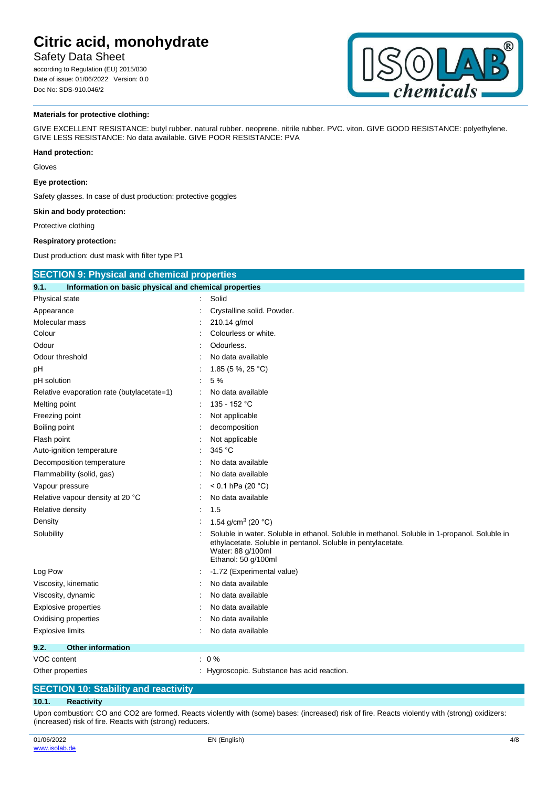## Safety Data Sheet

according to Regulation (EU) 2015/830 Date of issue: 01/06/2022 Version: 0.0 Doc No: SDS-910.046/2



#### **Materials for protective clothing:**

GIVE EXCELLENT RESISTANCE: butyl rubber. natural rubber. neoprene. nitrile rubber. PVC. viton. GIVE GOOD RESISTANCE: polyethylene. GIVE LESS RESISTANCE: No data available. GIVE POOR RESISTANCE: PVA

#### **Hand protection:**

Gloves

#### **Eye protection:**

Safety glasses. In case of dust production: protective goggles

#### **Skin and body protection:**

Protective clothing

#### **Respiratory protection:**

Dust production: dust mask with filter type P1

| <b>SECTION 9: Physical and chemical properties</b>            |  |                                                                                                                                                                                                          |  |
|---------------------------------------------------------------|--|----------------------------------------------------------------------------------------------------------------------------------------------------------------------------------------------------------|--|
| Information on basic physical and chemical properties<br>9.1. |  |                                                                                                                                                                                                          |  |
| Physical state                                                |  | Solid                                                                                                                                                                                                    |  |
| Appearance                                                    |  | Crystalline solid. Powder.                                                                                                                                                                               |  |
| Molecular mass                                                |  | 210.14 g/mol                                                                                                                                                                                             |  |
| Colour                                                        |  | Colourless or white.                                                                                                                                                                                     |  |
| Odour                                                         |  | Odourless.                                                                                                                                                                                               |  |
| Odour threshold                                               |  | No data available                                                                                                                                                                                        |  |
| рH                                                            |  | 1.85 (5 %, 25 °C)                                                                                                                                                                                        |  |
| pH solution                                                   |  | 5 %                                                                                                                                                                                                      |  |
| Relative evaporation rate (butylacetate=1)                    |  | No data available                                                                                                                                                                                        |  |
| Melting point                                                 |  | 135 - 152 °C                                                                                                                                                                                             |  |
| Freezing point                                                |  | Not applicable                                                                                                                                                                                           |  |
| Boiling point                                                 |  | decomposition                                                                                                                                                                                            |  |
| Flash point                                                   |  | Not applicable                                                                                                                                                                                           |  |
| Auto-ignition temperature                                     |  | 345 °C                                                                                                                                                                                                   |  |
| Decomposition temperature                                     |  | No data available                                                                                                                                                                                        |  |
| Flammability (solid, gas)                                     |  | No data available                                                                                                                                                                                        |  |
| Vapour pressure                                               |  | < 0.1 hPa (20 $^{\circ}$ C)                                                                                                                                                                              |  |
| Relative vapour density at 20 °C                              |  | No data available                                                                                                                                                                                        |  |
| Relative density                                              |  | 1.5                                                                                                                                                                                                      |  |
| Density                                                       |  | 1.54 g/cm <sup>3</sup> (20 $^{\circ}$ C)                                                                                                                                                                 |  |
| Solubility                                                    |  | Soluble in water. Soluble in ethanol. Soluble in methanol. Soluble in 1-propanol. Soluble in<br>ethylacetate. Soluble in pentanol. Soluble in pentylacetate.<br>Water: 88 g/100ml<br>Ethanol: 50 g/100ml |  |
| Log Pow                                                       |  | -1.72 (Experimental value)                                                                                                                                                                               |  |
| Viscosity, kinematic                                          |  | No data available                                                                                                                                                                                        |  |
| Viscosity, dynamic                                            |  | No data available                                                                                                                                                                                        |  |
| Explosive properties                                          |  | No data available                                                                                                                                                                                        |  |
| Oxidising properties                                          |  | No data available                                                                                                                                                                                        |  |
| <b>Explosive limits</b>                                       |  | No data available                                                                                                                                                                                        |  |
| 9.2.<br><b>Other information</b>                              |  |                                                                                                                                                                                                          |  |
| VOC content                                                   |  | $: 0\%$                                                                                                                                                                                                  |  |
| Other properties                                              |  | Hygroscopic. Substance has acid reaction.                                                                                                                                                                |  |

### **SECTION 10: Stability and reactivity**

#### **10.1. Reactivity**

Upon combustion: CO and CO2 are formed. Reacts violently with (some) bases: (increased) risk of fire. Reacts violently with (strong) oxidizers: (increased) risk of fire. Reacts with (strong) reducers.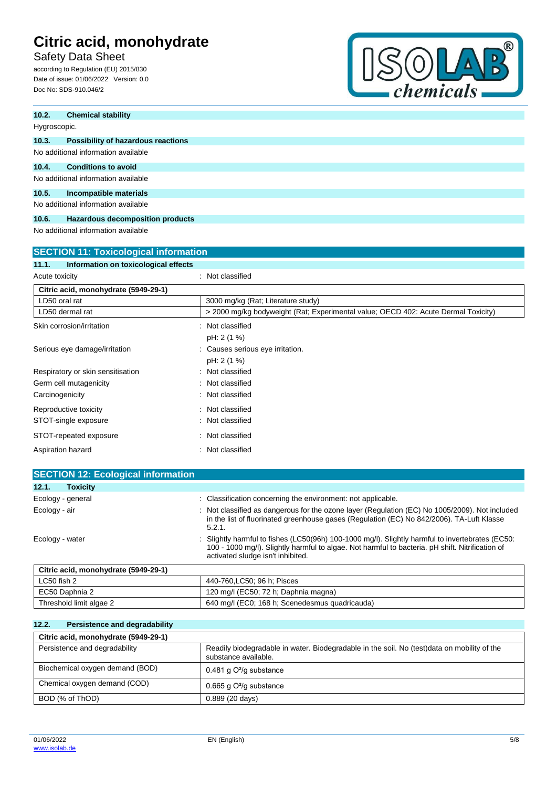Safety Data Sheet

according to Regulation (EU) 2015/830 Date of issue: 01/06/2022 Version: 0.0 Doc No: SDS-910.046/2



| 10.2. | <b>Chemical stability</b>           |  |  |
|-------|-------------------------------------|--|--|
|       | Hygroscopic.                        |  |  |
| 10.3. | Possibility of hazardous reactions  |  |  |
|       | No additional information available |  |  |
| 10.4. | <b>Conditions to avoid</b>          |  |  |
|       | No additional information available |  |  |
| 10.5. | Incompatible materials              |  |  |
|       | No additional information available |  |  |

### **10.6. Hazardous decomposition products**

No additional information available

| <b>SECTION 11: Toxicological information</b>  |                                                                                    |  |  |
|-----------------------------------------------|------------------------------------------------------------------------------------|--|--|
| Information on toxicological effects<br>11.1. |                                                                                    |  |  |
| Acute toxicity                                | Not classified                                                                     |  |  |
| Citric acid, monohydrate (5949-29-1)          |                                                                                    |  |  |
| LD50 oral rat                                 | 3000 mg/kg (Rat: Literature study)                                                 |  |  |
| LD50 dermal rat                               | > 2000 mg/kg bodyweight (Rat; Experimental value; OECD 402: Acute Dermal Toxicity) |  |  |
| Skin corrosion/irritation                     | Not classified                                                                     |  |  |
|                                               | pH: 2 (1 %)                                                                        |  |  |
| Serious eye damage/irritation                 | Causes serious eye irritation.                                                     |  |  |
|                                               | pH: 2 (1 %)                                                                        |  |  |
| Respiratory or skin sensitisation             | Not classified                                                                     |  |  |
| Germ cell mutagenicity                        | Not classified                                                                     |  |  |
| Carcinogenicity                               | Not classified                                                                     |  |  |
| Reproductive toxicity                         | Not classified                                                                     |  |  |
| STOT-single exposure                          | Not classified                                                                     |  |  |
| STOT-repeated exposure                        | Not classified                                                                     |  |  |
| Aspiration hazard                             | Not classified                                                                     |  |  |

| <b>SECTION 12: Ecological information</b> |                                                                                                                                                                                                                                         |
|-------------------------------------------|-----------------------------------------------------------------------------------------------------------------------------------------------------------------------------------------------------------------------------------------|
| 12.1.<br><b>Toxicity</b>                  |                                                                                                                                                                                                                                         |
| Ecology - general                         | : Classification concerning the environment: not applicable.                                                                                                                                                                            |
| Ecology - air                             | : Not classified as dangerous for the ozone layer (Regulation (EC) No 1005/2009). Not included<br>in the list of fluorinated greenhouse gases (Regulation (EC) No 842/2006). TA-Luft Klasse<br>5.2.1.                                   |
| Ecology - water                           | Slightly harmful to fishes (LC50(96h) 100-1000 mg/l). Slightly harmful to invertebrates (EC50:<br>100 - 1000 mg/l). Slightly harmful to algae. Not harmful to bacteria. pH shift. Nitrification of<br>activated sludge isn't inhibited. |
| Citric acid, monohydrate (5949-29-1)      |                                                                                                                                                                                                                                         |
| LC50 fish 2                               | 440-760, LC50; 96 h; Pisces                                                                                                                                                                                                             |
| EC50 Daphnia 2                            | 120 mg/l (EC50; 72 h; Daphnia magna)                                                                                                                                                                                                    |

| 640 mg/l (EC0; 168 h; Scenedesmus quadricauda)<br>Threshold limit algae 2 |
|---------------------------------------------------------------------------|
|---------------------------------------------------------------------------|

## **12.2. Persistence and degradability**

| Citric acid, monohydrate (5949-29-1) |                                                                                                                     |
|--------------------------------------|---------------------------------------------------------------------------------------------------------------------|
| Persistence and degradability        | Readily biodegradable in water. Biodegradable in the soil. No (test)data on mobility of the<br>substance available. |
| Biochemical oxygen demand (BOD)      | 0.481 g $O^2$ /g substance                                                                                          |
| Chemical oxygen demand (COD)         | 0.665 g $O^2$ /g substance                                                                                          |
| BOD (% of ThOD)                      | $0.889(20 \text{ days})$                                                                                            |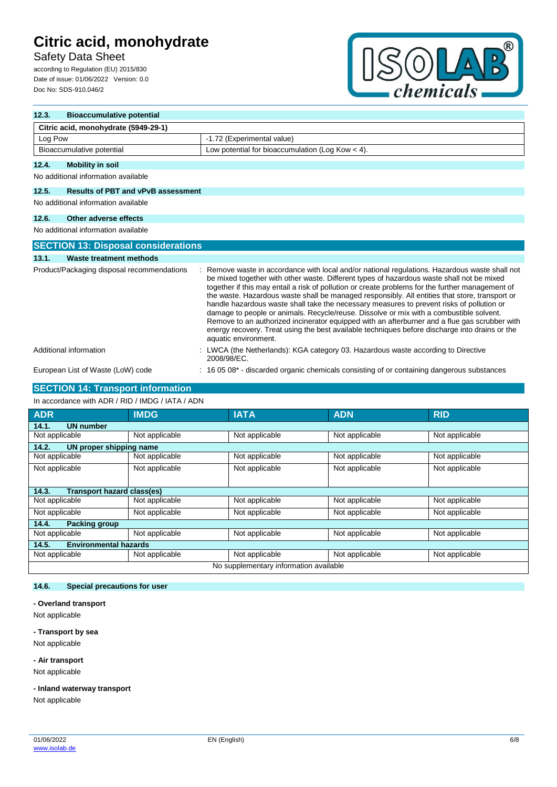## Safety Data Sheet

according to Regulation (EU) 2015/830 Date of issue: 01/06/2022 Version: 0.0 Doc No: SDS-910.046/2



| 12.3.   | <b>Bioaccumulative potential</b>           |  |                                                                                                                                                                                                                                                                                                                                                                                                                                                                                                                                                                                                                                                                                                                                                                                                                    |  |  |
|---------|--------------------------------------------|--|--------------------------------------------------------------------------------------------------------------------------------------------------------------------------------------------------------------------------------------------------------------------------------------------------------------------------------------------------------------------------------------------------------------------------------------------------------------------------------------------------------------------------------------------------------------------------------------------------------------------------------------------------------------------------------------------------------------------------------------------------------------------------------------------------------------------|--|--|
|         | Citric acid, monohydrate (5949-29-1)       |  |                                                                                                                                                                                                                                                                                                                                                                                                                                                                                                                                                                                                                                                                                                                                                                                                                    |  |  |
| Log Pow |                                            |  | -1.72 (Experimental value)                                                                                                                                                                                                                                                                                                                                                                                                                                                                                                                                                                                                                                                                                                                                                                                         |  |  |
|         | Bioaccumulative potential                  |  | Low potential for bioaccumulation (Log Kow $<$ 4).                                                                                                                                                                                                                                                                                                                                                                                                                                                                                                                                                                                                                                                                                                                                                                 |  |  |
| 12.4.   | <b>Mobility in soil</b>                    |  |                                                                                                                                                                                                                                                                                                                                                                                                                                                                                                                                                                                                                                                                                                                                                                                                                    |  |  |
|         | No additional information available        |  |                                                                                                                                                                                                                                                                                                                                                                                                                                                                                                                                                                                                                                                                                                                                                                                                                    |  |  |
| 12.5.   | <b>Results of PBT and vPvB assessment</b>  |  |                                                                                                                                                                                                                                                                                                                                                                                                                                                                                                                                                                                                                                                                                                                                                                                                                    |  |  |
|         | No additional information available        |  |                                                                                                                                                                                                                                                                                                                                                                                                                                                                                                                                                                                                                                                                                                                                                                                                                    |  |  |
| 12.6.   | Other adverse effects                      |  |                                                                                                                                                                                                                                                                                                                                                                                                                                                                                                                                                                                                                                                                                                                                                                                                                    |  |  |
|         | No additional information available        |  |                                                                                                                                                                                                                                                                                                                                                                                                                                                                                                                                                                                                                                                                                                                                                                                                                    |  |  |
|         | <b>SECTION 13: Disposal considerations</b> |  |                                                                                                                                                                                                                                                                                                                                                                                                                                                                                                                                                                                                                                                                                                                                                                                                                    |  |  |
| 13.1.   | Waste treatment methods                    |  |                                                                                                                                                                                                                                                                                                                                                                                                                                                                                                                                                                                                                                                                                                                                                                                                                    |  |  |
|         | Product/Packaging disposal recommendations |  | Remove waste in accordance with local and/or national regulations. Hazardous waste shall not<br>be mixed together with other waste. Different types of hazardous waste shall not be mixed<br>together if this may entail a risk of pollution or create problems for the further management of<br>the waste. Hazardous waste shall be managed responsibly. All entities that store, transport or<br>handle hazardous waste shall take the necessary measures to prevent risks of pollution or<br>damage to people or animals. Recycle/reuse. Dissolve or mix with a combustible solvent.<br>Remove to an authorized incinerator equipped with an afterburner and a flue gas scrubber with<br>energy recovery. Treat using the best available techniques before discharge into drains or the<br>aquatic environment. |  |  |
|         | Additional information                     |  | LWCA (the Netherlands): KGA category 03. Hazardous waste according to Directive<br>2008/98/EC.                                                                                                                                                                                                                                                                                                                                                                                                                                                                                                                                                                                                                                                                                                                     |  |  |
|         | European List of Waste (LoW) code          |  | 16 05 08 <sup>*</sup> - discarded organic chemicals consisting of or containing dangerous substances                                                                                                                                                                                                                                                                                                                                                                                                                                                                                                                                                                                                                                                                                                               |  |  |

## **SECTION 14: Transport information**

#### In accordance with ADR / RID / IMDG / IATA / ADN

| <b>ADR</b>                                 | <b>IMDG</b>    | <b>IATA</b>    | <b>ADN</b>     | <b>RID</b>     |  |
|--------------------------------------------|----------------|----------------|----------------|----------------|--|
| <b>UN number</b><br>14.1.                  |                |                |                |                |  |
| Not applicable                             | Not applicable | Not applicable | Not applicable | Not applicable |  |
| 14.2.<br>UN proper shipping name           |                |                |                |                |  |
| Not applicable                             | Not applicable | Not applicable | Not applicable | Not applicable |  |
| Not applicable                             | Not applicable | Not applicable | Not applicable | Not applicable |  |
|                                            |                |                |                |                |  |
| <b>Transport hazard class(es)</b><br>14.3. |                |                |                |                |  |
| Not applicable                             | Not applicable | Not applicable | Not applicable | Not applicable |  |
| Not applicable                             | Not applicable | Not applicable | Not applicable | Not applicable |  |
| 14.4.<br><b>Packing group</b>              |                |                |                |                |  |
| Not applicable                             | Not applicable | Not applicable | Not applicable | Not applicable |  |
| <b>Environmental hazards</b><br>14.5.      |                |                |                |                |  |
| Not applicable                             | Not applicable | Not applicable | Not applicable | Not applicable |  |
| No supplementary information available     |                |                |                |                |  |

## **14.6. Special precautions for user**

### **- Overland transport**

Not applicable

### **- Transport by sea**

Not applicable

**- Air transport**

Not applicable

### **- Inland waterway transport**

Not applicable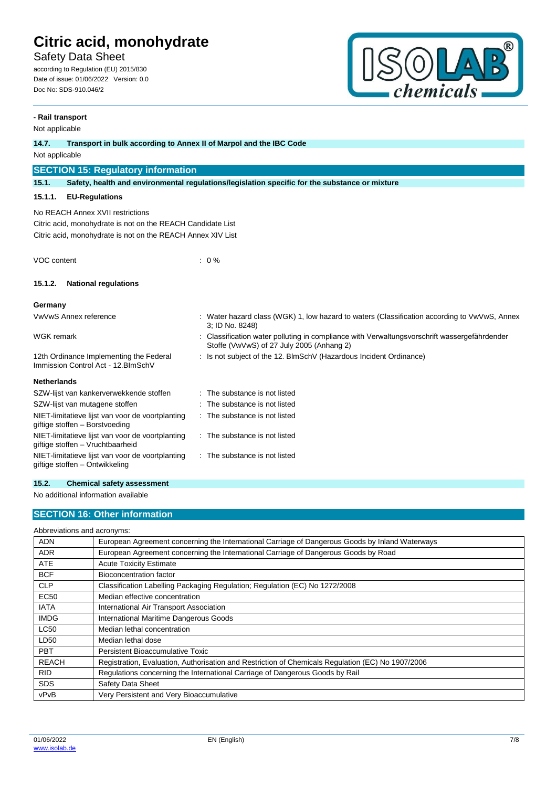Safety Data Sheet

according to Regulation (EU) 2015/830 Date of issue: 01/06/2022 Version: 0.0 Doc No: SDS-910.046/2



## **- Rail transport** Not applicable **14.7. Transport in bulk according to Annex II of Marpol and the IBC Code** Not applicable **SECTION 15: Regulatory information 15.1. Safety, health and environmental regulations/legislation specific for the substance or mixture 15.1.1. EU-Regulations** No REACH Annex XVII restrictions Citric acid, monohydrate is not on the REACH Candidate List Citric acid, monohydrate is not on the REACH Annex XIV List VOC content : 0 % **15.1.2. National regulations Germany** VwVwS Annex reference : Water hazard class (WGK) 1, low hazard to waters (Classification according to VwVwS, Annex 3; ID No. 8248) WGK remark **in the symbol of the Classification water polluting in compliance with Verwaltungsvorschrift wassergefährdender** with Verwaltungsvorschrift wassergefährdender Stoffe (VwVwS) of 27 July 2005 (Anhang 2) 12th Ordinance Implementing the Federal Immission Control Act - 12.BImSchV : Is not subject of the 12. BlmSchV (Hazardous Incident Ordinance) **Netherlands** SZW-lijst van kankerverwekkende stoffen : The substance is not listed SZW-lijst van mutagene stoffen : The substance is not listed NIET-limitatieve lijst van voor de voortplanting giftige stoffen – Borstvoeding : The substance is not listed NIET-limitatieve lijst van voor de voortplanting giftige stoffen – Vruchtbaarheid : The substance is not listed NIET-limitatieve lijst van voor de voortplanting giftige stoffen – Ontwikkeling : The substance is not listed

#### **15.2. Chemical safety assessment**

No additional information available

### **SECTION 16: Other information**

| Abbreviations and acronyms: |                                                                                                   |
|-----------------------------|---------------------------------------------------------------------------------------------------|
| <b>ADN</b>                  | European Agreement concerning the International Carriage of Dangerous Goods by Inland Waterways   |
| <b>ADR</b>                  | European Agreement concerning the International Carriage of Dangerous Goods by Road               |
| <b>ATE</b>                  | <b>Acute Toxicity Estimate</b>                                                                    |
| <b>BCF</b>                  | Bioconcentration factor                                                                           |
| <b>CLP</b>                  | Classification Labelling Packaging Regulation; Regulation (EC) No 1272/2008                       |
| <b>EC50</b>                 | Median effective concentration                                                                    |
| <b>IATA</b>                 | International Air Transport Association                                                           |
| <b>IMDG</b>                 | International Maritime Dangerous Goods                                                            |
| <b>LC50</b>                 | Median lethal concentration                                                                       |
| LD50                        | Median lethal dose                                                                                |
| <b>PBT</b>                  | Persistent Bioaccumulative Toxic                                                                  |
| <b>REACH</b>                | Registration, Evaluation, Authorisation and Restriction of Chemicals Regulation (EC) No 1907/2006 |
| <b>RID</b>                  | Regulations concerning the International Carriage of Dangerous Goods by Rail                      |
| <b>SDS</b>                  | Safety Data Sheet                                                                                 |
| vPvB                        | Very Persistent and Very Bioaccumulative                                                          |